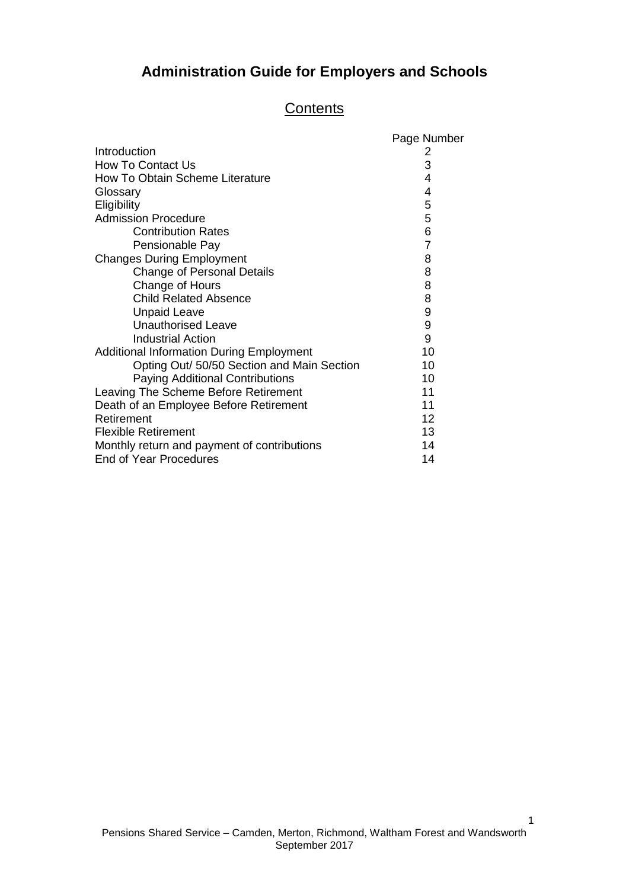# **Administration Guide for Employers and Schools**

### **Contents**

|                                                 | Page Number    |
|-------------------------------------------------|----------------|
| Introduction                                    | $\mathbf{z}$   |
| <b>How To Contact Us</b>                        | 3              |
| How To Obtain Scheme Literature                 | 4              |
| Glossary                                        | 4              |
| Eligibility                                     | 5              |
| <b>Admission Procedure</b>                      | 5              |
| <b>Contribution Rates</b>                       | 6              |
| Pensionable Pay                                 | $\overline{7}$ |
| <b>Changes During Employment</b>                | 8              |
| <b>Change of Personal Details</b>               | 8              |
| Change of Hours                                 | 8              |
| <b>Child Related Absence</b>                    | 8              |
| <b>Unpaid Leave</b>                             | 9              |
| <b>Unauthorised Leave</b>                       | 9              |
| <b>Industrial Action</b>                        | 9              |
| <b>Additional Information During Employment</b> | 10             |
| Opting Out/ 50/50 Section and Main Section      | 10             |
| <b>Paying Additional Contributions</b>          | 10             |
| Leaving The Scheme Before Retirement            | 11             |
| Death of an Employee Before Retirement          | 11             |
| Retirement                                      | 12             |
| <b>Flexible Retirement</b>                      | 13             |
| Monthly return and payment of contributions     | 14             |
| <b>End of Year Procedures</b>                   | 14             |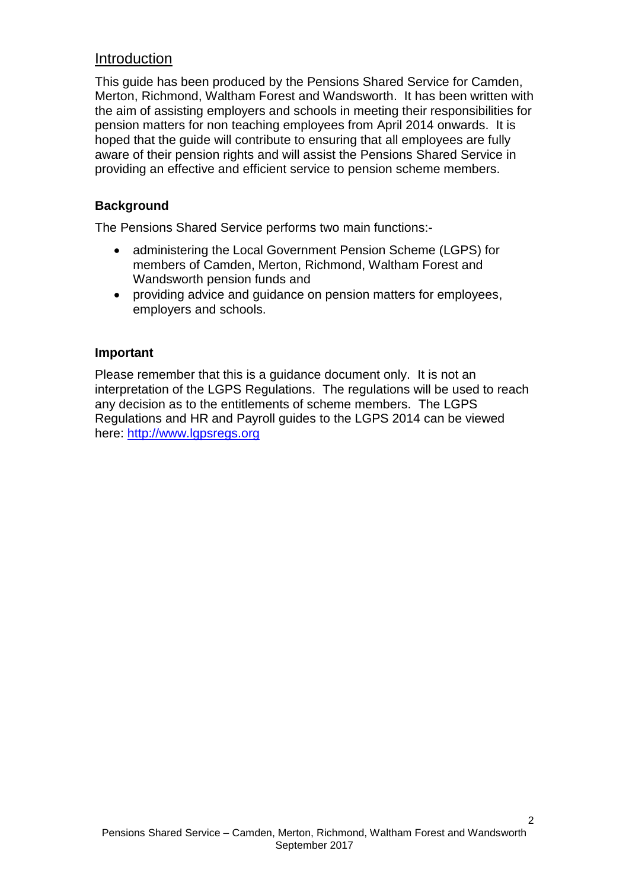## Introduction

This guide has been produced by the Pensions Shared Service for Camden, Merton, Richmond, Waltham Forest and Wandsworth. It has been written with the aim of assisting employers and schools in meeting their responsibilities for pension matters for non teaching employees from April 2014 onwards. It is hoped that the guide will contribute to ensuring that all employees are fully aware of their pension rights and will assist the Pensions Shared Service in providing an effective and efficient service to pension scheme members.

#### **Background**

The Pensions Shared Service performs two main functions:-

- administering the Local Government Pension Scheme (LGPS) for members of Camden, Merton, Richmond, Waltham Forest and Wandsworth pension funds and
- providing advice and guidance on pension matters for employees, employers and schools.

#### **Important**

Please remember that this is a guidance document only. It is not an interpretation of the LGPS Regulations. The regulations will be used to reach any decision as to the entitlements of scheme members. The LGPS Regulations and HR and Payroll guides to the LGPS 2014 can be viewed here: [http://www.lgpsregs.org](http://www.lgpsregs.org/)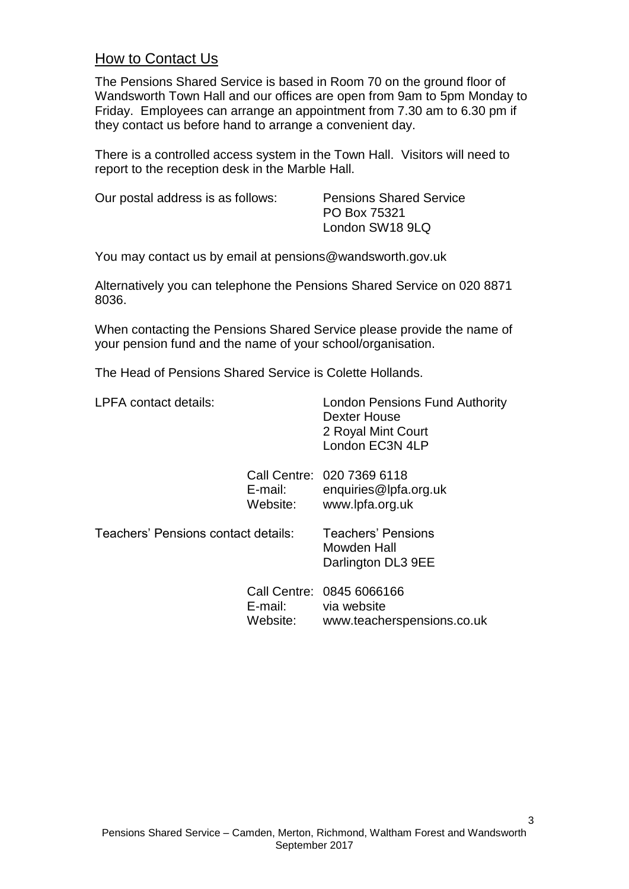## How to Contact Us

The Pensions Shared Service is based in Room 70 on the ground floor of Wandsworth Town Hall and our offices are open from 9am to 5pm Monday to Friday. Employees can arrange an appointment from 7.30 am to 6.30 pm if they contact us before hand to arrange a convenient day.

There is a controlled access system in the Town Hall. Visitors will need to report to the reception desk in the Marble Hall.

Our postal address is as follows: Pensions Shared Service

PO Box 75321 London SW18 9LQ

You may contact us by email at pensions@wandsworth.gov.uk

Alternatively you can telephone the Pensions Shared Service on 020 8871 8036.

When contacting the Pensions Shared Service please provide the name of your pension fund and the name of your school/organisation.

The Head of Pensions Shared Service is Colette Hollands.

| <b>LPFA</b> contact details:        |                     | <b>London Pensions Fund Authority</b><br>Dexter House<br>2 Royal Mint Court<br>London EC3N 4LP |
|-------------------------------------|---------------------|------------------------------------------------------------------------------------------------|
|                                     | E-mail:<br>Website: | Call Centre: 020 7369 6118<br>enquiries@lpfa.org.uk<br>www.lpfa.org.uk                         |
| Teachers' Pensions contact details: |                     | <b>Teachers' Pensions</b><br>Mowden Hall<br>Darlington DL3 9EE                                 |
|                                     | E-mail:<br>Website: | Call Centre: 0845 6066166<br>via website<br>www.teacherspensions.co.uk                         |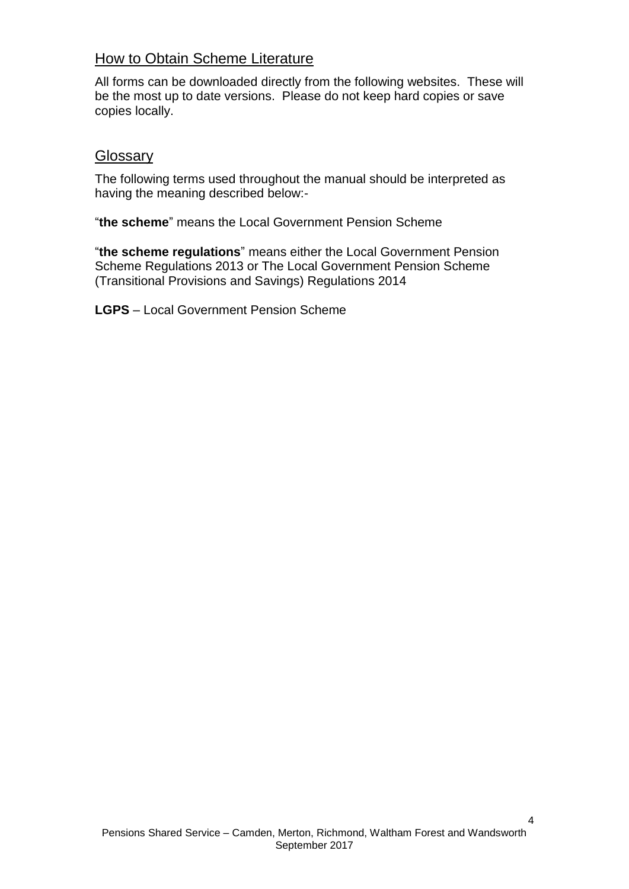# How to Obtain Scheme Literature

All forms can be downloaded directly from the following websites. These will be the most up to date versions. Please do not keep hard copies or save copies locally.

## **Glossary**

The following terms used throughout the manual should be interpreted as having the meaning described below:-

"**the scheme**" means the Local Government Pension Scheme

"**the scheme regulations**" means either the Local Government Pension Scheme Regulations 2013 or The Local Government Pension Scheme (Transitional Provisions and Savings) Regulations 2014

**LGPS** – Local Government Pension Scheme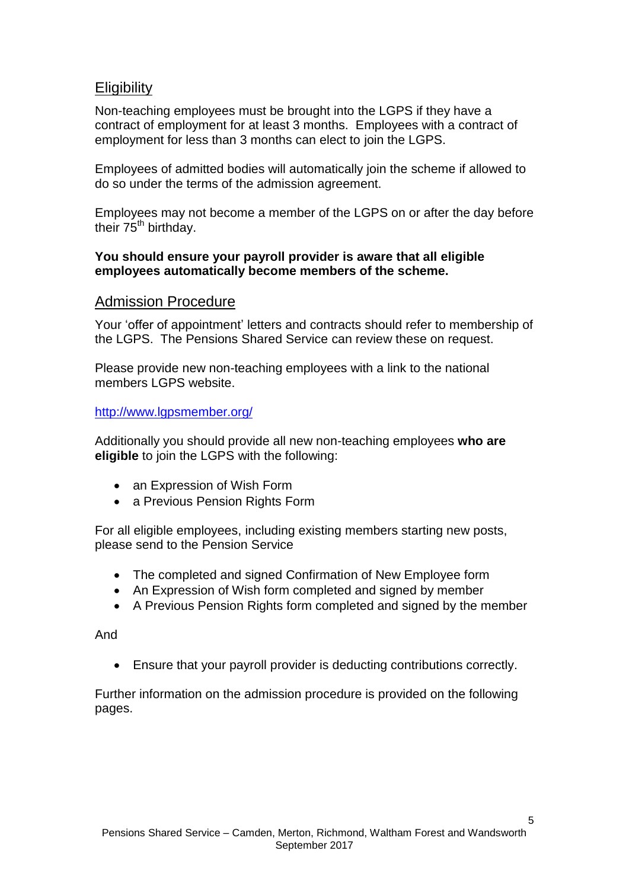# **Eligibility**

Non-teaching employees must be brought into the LGPS if they have a contract of employment for at least 3 months. Employees with a contract of employment for less than 3 months can elect to join the LGPS.

Employees of admitted bodies will automatically join the scheme if allowed to do so under the terms of the admission agreement.

Employees may not become a member of the LGPS on or after the day before their 75<sup>th</sup> birthday.

#### **You should ensure your payroll provider is aware that all eligible employees automatically become members of the scheme.**

## Admission Procedure

Your 'offer of appointment' letters and contracts should refer to membership of the LGPS. The Pensions Shared Service can review these on request.

Please provide new non-teaching employees with a link to the national members LGPS website.

http://www.lapsmember.org/

Additionally you should provide all new non-teaching employees **who are eligible** to join the LGPS with the following:

- an Expression of Wish Form
- a Previous Pension Rights Form

For all eligible employees, including existing members starting new posts, please send to the Pension Service

- The completed and signed Confirmation of New Employee form
- An Expression of Wish form completed and signed by member
- A Previous Pension Rights form completed and signed by the member

And

Ensure that your payroll provider is deducting contributions correctly.

Further information on the admission procedure is provided on the following pages.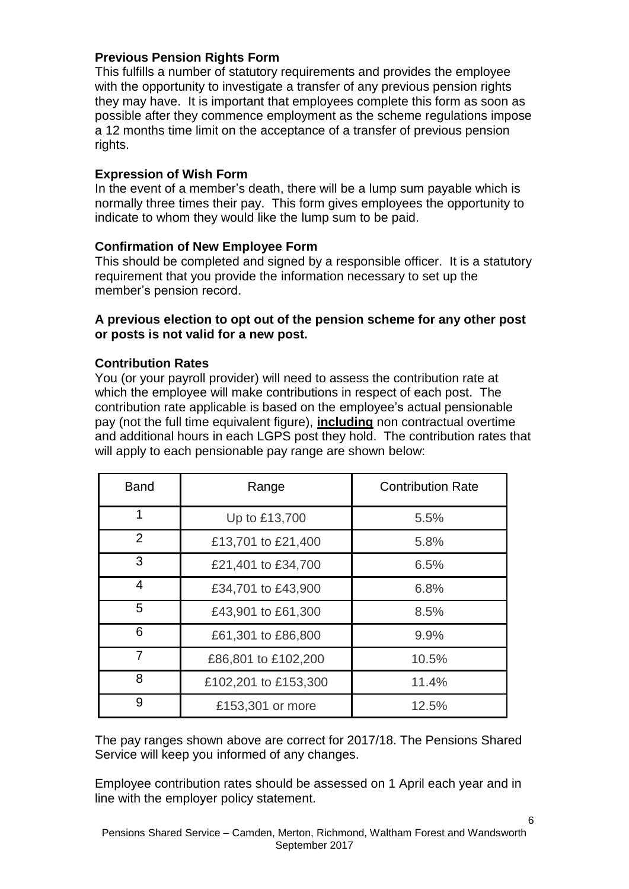#### **Previous Pension Rights Form**

This fulfills a number of statutory requirements and provides the employee with the opportunity to investigate a transfer of any previous pension rights they may have. It is important that employees complete this form as soon as possible after they commence employment as the scheme regulations impose a 12 months time limit on the acceptance of a transfer of previous pension rights.

#### **Expression of Wish Form**

In the event of a member's death, there will be a lump sum payable which is normally three times their pay. This form gives employees the opportunity to indicate to whom they would like the lump sum to be paid.

#### **Confirmation of New Employee Form**

This should be completed and signed by a responsible officer. It is a statutory requirement that you provide the information necessary to set up the member's pension record.

#### **A previous election to opt out of the pension scheme for any other post or posts is not valid for a new post.**

#### **Contribution Rates**

You (or your payroll provider) will need to assess the contribution rate at which the employee will make contributions in respect of each post. The contribution rate applicable is based on the employee's actual pensionable pay (not the full time equivalent figure), **including** non contractual overtime and additional hours in each LGPS post they hold. The contribution rates that will apply to each pensionable pay range are shown below:

| <b>Band</b> | Range                | <b>Contribution Rate</b> |
|-------------|----------------------|--------------------------|
| 1           | Up to £13,700        | 5.5%                     |
| 2           | £13,701 to £21,400   | 5.8%                     |
| 3           | £21,401 to £34,700   | 6.5%                     |
| 4           | £34,701 to £43,900   | 6.8%                     |
| 5           | £43,901 to £61,300   | 8.5%                     |
| 6           | £61,301 to £86,800   | 9.9%                     |
| 7           | £86,801 to £102,200  | 10.5%                    |
| 8           | £102,201 to £153,300 | 11.4%                    |
| 9           | £153,301 or more     | 12.5%                    |

The pay ranges shown above are correct for 2017/18. The Pensions Shared Service will keep you informed of any changes.

Employee contribution rates should be assessed on 1 April each year and in line with the employer policy statement.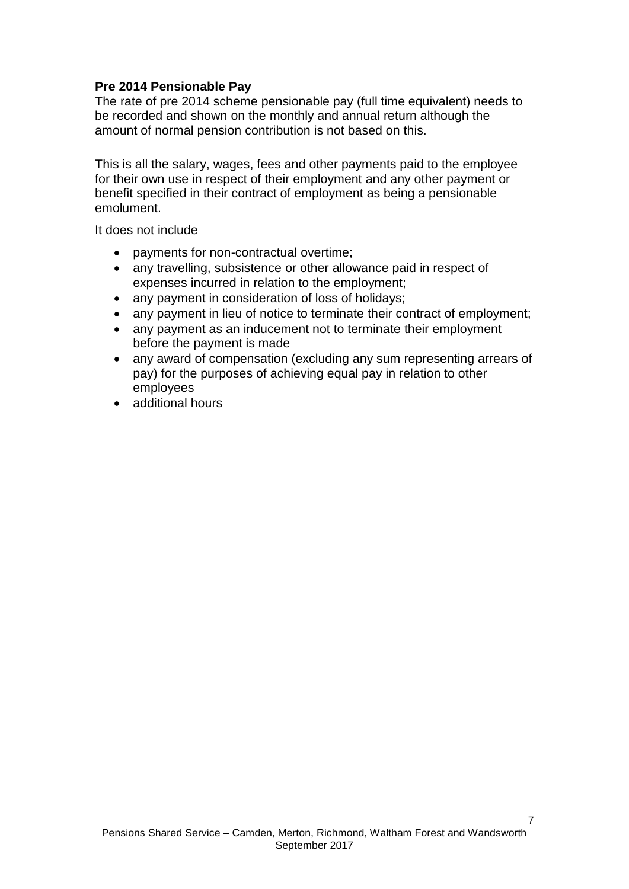#### **Pre 2014 Pensionable Pay**

The rate of pre 2014 scheme pensionable pay (full time equivalent) needs to be recorded and shown on the monthly and annual return although the amount of normal pension contribution is not based on this.

This is all the salary, wages, fees and other payments paid to the employee for their own use in respect of their employment and any other payment or benefit specified in their contract of employment as being a pensionable emolument.

It does not include

- payments for non-contractual overtime;
- any travelling, subsistence or other allowance paid in respect of expenses incurred in relation to the employment;
- any payment in consideration of loss of holidays;
- any payment in lieu of notice to terminate their contract of employment;
- any payment as an inducement not to terminate their employment before the payment is made
- any award of compensation (excluding any sum representing arrears of pay) for the purposes of achieving equal pay in relation to other employees
- additional hours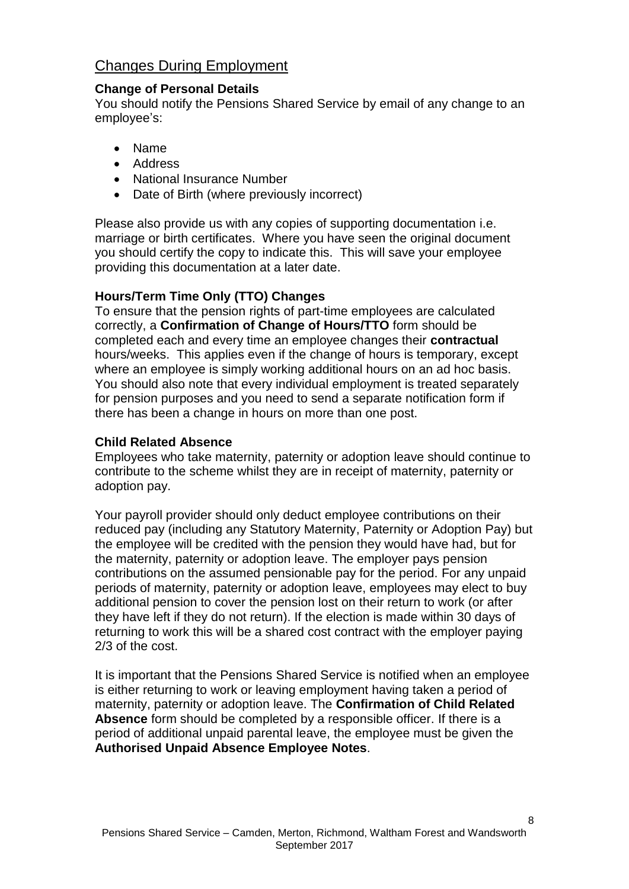# Changes During Employment

#### **Change of Personal Details**

You should notify the Pensions Shared Service by email of any change to an employee's:

- Name
- Address
- National Insurance Number
- Date of Birth (where previously incorrect)

Please also provide us with any copies of supporting documentation i.e. marriage or birth certificates. Where you have seen the original document you should certify the copy to indicate this. This will save your employee providing this documentation at a later date.

#### **Hours/Term Time Only (TTO) Changes**

To ensure that the pension rights of part-time employees are calculated correctly, a **Confirmation of Change of Hours/TTO** form should be completed each and every time an employee changes their **contractual** hours/weeks. This applies even if the change of hours is temporary, except where an employee is simply working additional hours on an ad hoc basis. You should also note that every individual employment is treated separately for pension purposes and you need to send a separate notification form if there has been a change in hours on more than one post.

#### **Child Related Absence**

Employees who take maternity, paternity or adoption leave should continue to contribute to the scheme whilst they are in receipt of maternity, paternity or adoption pay.

Your payroll provider should only deduct employee contributions on their reduced pay (including any Statutory Maternity, Paternity or Adoption Pay) but the employee will be credited with the pension they would have had, but for the maternity, paternity or adoption leave. The employer pays pension contributions on the assumed pensionable pay for the period. For any unpaid periods of maternity, paternity or adoption leave, employees may elect to buy additional pension to cover the pension lost on their return to work (or after they have left if they do not return). If the election is made within 30 days of returning to work this will be a shared cost contract with the employer paying 2/3 of the cost.

It is important that the Pensions Shared Service is notified when an employee is either returning to work or leaving employment having taken a period of maternity, paternity or adoption leave. The **Confirmation of Child Related Absence** form should be completed by a responsible officer. If there is a period of additional unpaid parental leave, the employee must be given the **Authorised Unpaid Absence Employee Notes**.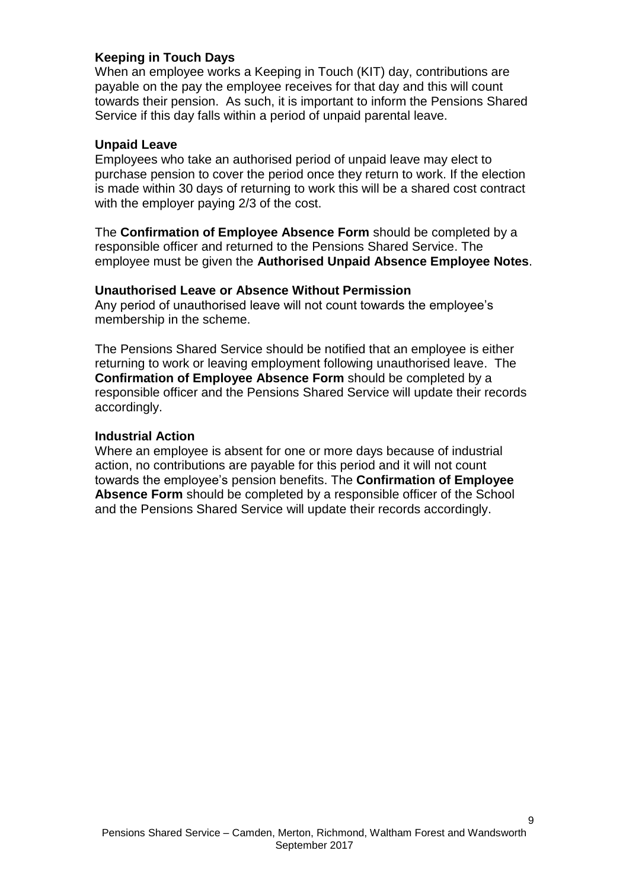#### **Keeping in Touch Days**

When an employee works a Keeping in Touch (KIT) day, contributions are payable on the pay the employee receives for that day and this will count towards their pension. As such, it is important to inform the Pensions Shared Service if this day falls within a period of unpaid parental leave.

#### **Unpaid Leave**

Employees who take an authorised period of unpaid leave may elect to purchase pension to cover the period once they return to work. If the election is made within 30 days of returning to work this will be a shared cost contract with the employer paying 2/3 of the cost.

The **Confirmation of Employee Absence Form** should be completed by a responsible officer and returned to the Pensions Shared Service. The employee must be given the **Authorised Unpaid Absence Employee Notes**.

#### **Unauthorised Leave or Absence Without Permission**

Any period of unauthorised leave will not count towards the employee's membership in the scheme.

The Pensions Shared Service should be notified that an employee is either returning to work or leaving employment following unauthorised leave. The **Confirmation of Employee Absence Form** should be completed by a responsible officer and the Pensions Shared Service will update their records accordingly.

#### **Industrial Action**

Where an employee is absent for one or more days because of industrial action, no contributions are payable for this period and it will not count towards the employee's pension benefits. The **Confirmation of Employee Absence Form** should be completed by a responsible officer of the School and the Pensions Shared Service will update their records accordingly.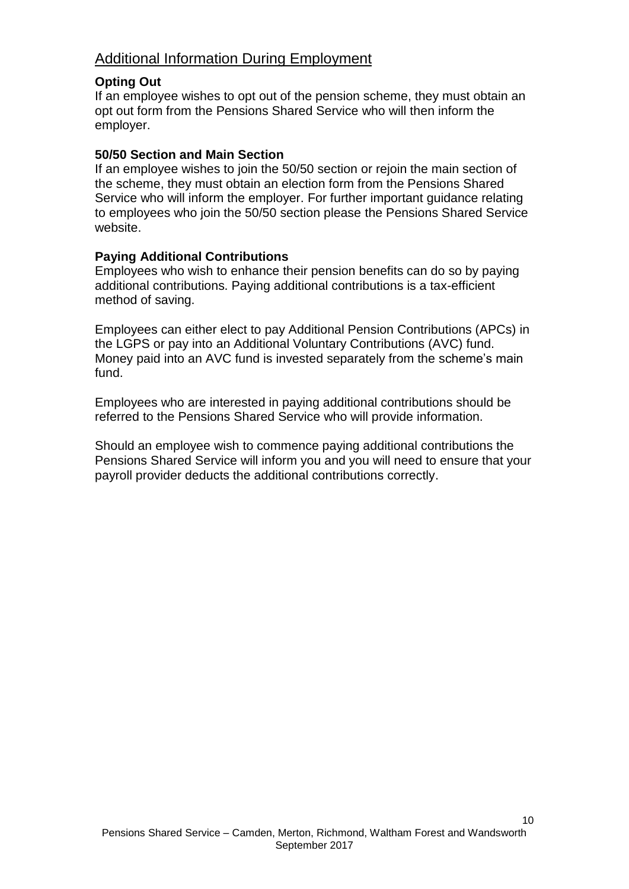# Additional Information During Employment

#### **Opting Out**

If an employee wishes to opt out of the pension scheme, they must obtain an opt out form from the Pensions Shared Service who will then inform the employer.

#### **50/50 Section and Main Section**

If an employee wishes to join the 50/50 section or rejoin the main section of the scheme, they must obtain an election form from the Pensions Shared Service who will inform the employer. For further important guidance relating to employees who join the 50/50 section please the Pensions Shared Service website.

#### **Paying Additional Contributions**

Employees who wish to enhance their pension benefits can do so by paying additional contributions. Paying additional contributions is a tax-efficient method of saving.

Employees can either elect to pay Additional Pension Contributions (APCs) in the LGPS or pay into an Additional Voluntary Contributions (AVC) fund. Money paid into an AVC fund is invested separately from the scheme's main fund.

Employees who are interested in paying additional contributions should be referred to the Pensions Shared Service who will provide information.

Should an employee wish to commence paying additional contributions the Pensions Shared Service will inform you and you will need to ensure that your payroll provider deducts the additional contributions correctly.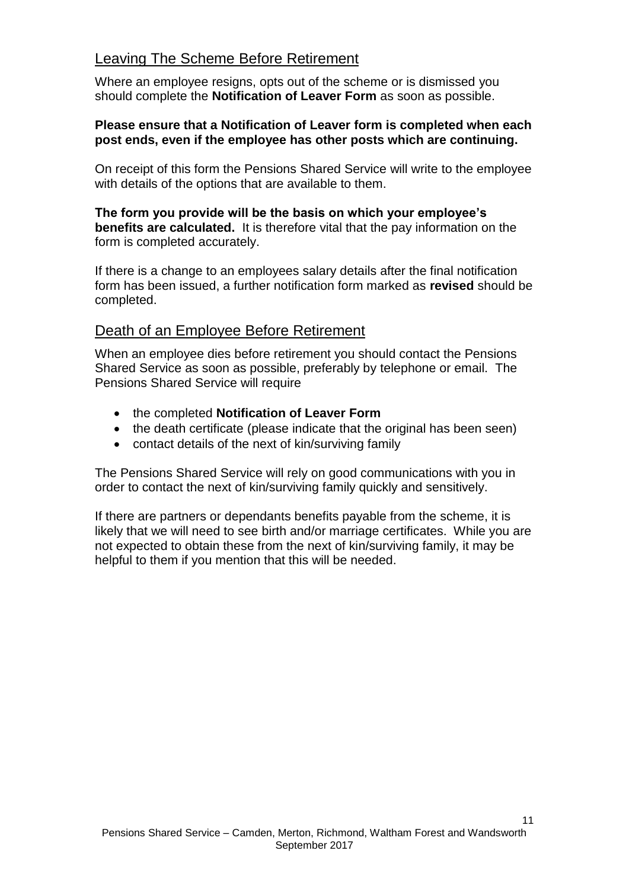# Leaving The Scheme Before Retirement

Where an employee resigns, opts out of the scheme or is dismissed you should complete the **Notification of Leaver Form** as soon as possible.

#### **Please ensure that a Notification of Leaver form is completed when each post ends, even if the employee has other posts which are continuing.**

On receipt of this form the Pensions Shared Service will write to the employee with details of the options that are available to them.

**The form you provide will be the basis on which your employee's benefits are calculated.** It is therefore vital that the pay information on the form is completed accurately.

If there is a change to an employees salary details after the final notification form has been issued, a further notification form marked as **revised** should be completed.

# Death of an Employee Before Retirement

When an employee dies before retirement you should contact the Pensions Shared Service as soon as possible, preferably by telephone or email. The Pensions Shared Service will require

- the completed **Notification of Leaver Form**
- the death certificate (please indicate that the original has been seen)
- contact details of the next of kin/surviving family

The Pensions Shared Service will rely on good communications with you in order to contact the next of kin/surviving family quickly and sensitively.

If there are partners or dependants benefits payable from the scheme, it is likely that we will need to see birth and/or marriage certificates. While you are not expected to obtain these from the next of kin/surviving family, it may be helpful to them if you mention that this will be needed.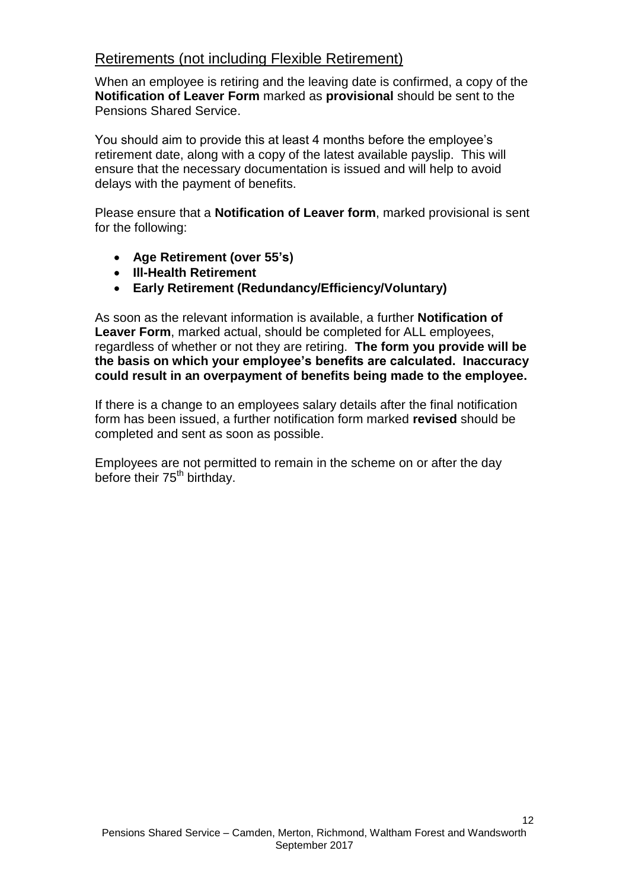# Retirements (not including Flexible Retirement)

When an employee is retiring and the leaving date is confirmed, a copy of the **Notification of Leaver Form** marked as **provisional** should be sent to the Pensions Shared Service.

You should aim to provide this at least 4 months before the employee's retirement date, along with a copy of the latest available payslip. This will ensure that the necessary documentation is issued and will help to avoid delays with the payment of benefits.

Please ensure that a **Notification of Leaver form**, marked provisional is sent for the following:

- **Age Retirement (over 55's)**
- **Ill-Health Retirement**
- **Early Retirement (Redundancy/Efficiency/Voluntary)**

As soon as the relevant information is available, a further **Notification of Leaver Form**, marked actual, should be completed for ALL employees, regardless of whether or not they are retiring. **The form you provide will be the basis on which your employee's benefits are calculated. Inaccuracy could result in an overpayment of benefits being made to the employee.**

If there is a change to an employees salary details after the final notification form has been issued, a further notification form marked **revised** should be completed and sent as soon as possible.

Employees are not permitted to remain in the scheme on or after the day before their 75<sup>th</sup> birthday.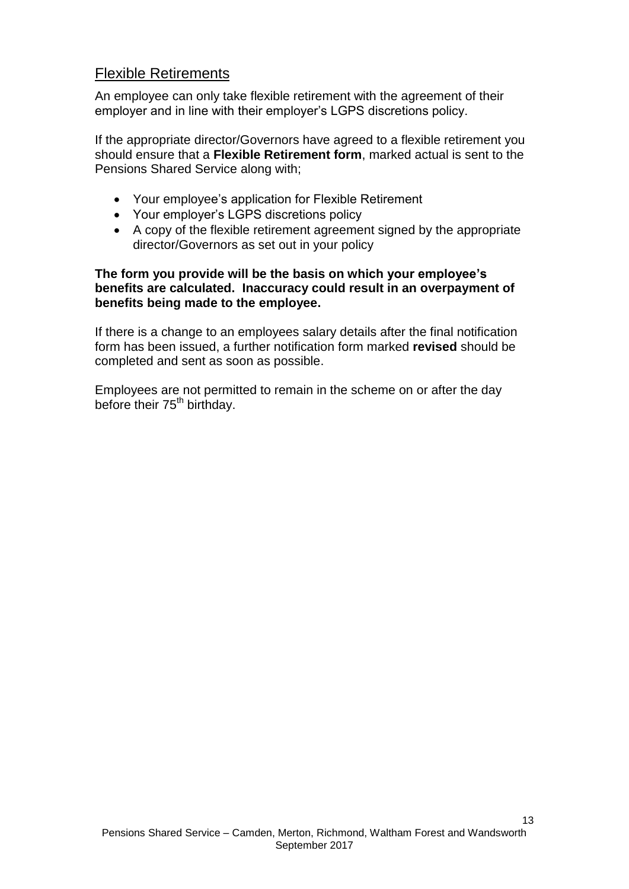# Flexible Retirements

An employee can only take flexible retirement with the agreement of their employer and in line with their employer's LGPS discretions policy.

If the appropriate director/Governors have agreed to a flexible retirement you should ensure that a **Flexible Retirement form**, marked actual is sent to the Pensions Shared Service along with;

- Your employee's application for Flexible Retirement
- Your employer's LGPS discretions policy
- A copy of the flexible retirement agreement signed by the appropriate director/Governors as set out in your policy

#### **The form you provide will be the basis on which your employee's benefits are calculated. Inaccuracy could result in an overpayment of benefits being made to the employee.**

If there is a change to an employees salary details after the final notification form has been issued, a further notification form marked **revised** should be completed and sent as soon as possible.

Employees are not permitted to remain in the scheme on or after the day before their 75<sup>th</sup> birthday.